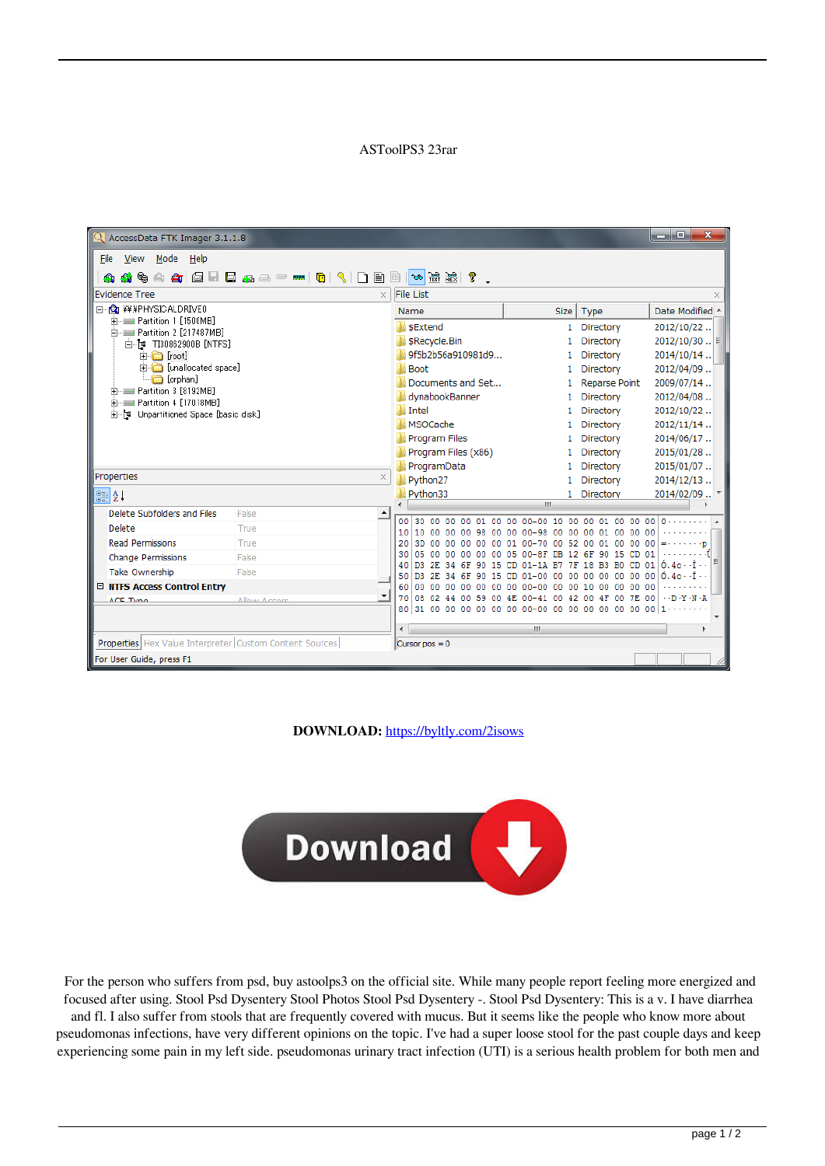## ASToolPS3 23rar

| R AccessData FTK Imager 3.1.1.8                                |                                                           |                                                                   | $\mathbf{x}$<br>o.<br>الكا                                                 |
|----------------------------------------------------------------|-----------------------------------------------------------|-------------------------------------------------------------------|----------------------------------------------------------------------------|
| Mode Help<br>View<br>File                                      |                                                           |                                                                   |                                                                            |
| €<br>А.<br>A                                                   |                                                           |                                                                   |                                                                            |
| Evidence Tree<br>$\times$                                      | File List                                                 |                                                                   | ×                                                                          |
| E-G ¥¥¥PHYSICALDRIVE0                                          | Name                                                      | Type<br><b>Size</b>                                               | Date Modified 4                                                            |
| Fi-- Martition 1 [1500MB]<br>Financial Partition 2 [217487MB]  | SExtend                                                   | 1 Directory                                                       | 2012/10/22                                                                 |
| 白 r T30862900B [NTFS]                                          | \$Recycle.Bin                                             | Directory                                                         | $2012/10/30$ $\equiv$                                                      |
| □ □ [root]                                                     | 9f5b2b56a910981d9                                         | Directory                                                         | 2014/10/14                                                                 |
| in [unallocated space]<br>in [orphan]                          | <b>Boot</b>                                               | Directory<br>1                                                    | 2012/04/09                                                                 |
| Fi-- Martition 3 [8192MB]                                      | Documents and Set                                         | <b>Reparse Point</b>                                              | 2009/07/14.                                                                |
| Fi-- Martition 4 [17018MB]                                     | dynabookBanner<br><b>Intel</b>                            | Directory                                                         | 2012/04/08<br>2012/10/22                                                   |
| 由 [* Unpartitioned Space [basic disk]                          | <b>MSOCache</b>                                           | Directory<br>1<br>Directory                                       | 2012/11/14                                                                 |
|                                                                | Program Files                                             | Directory                                                         | 2014/06/17                                                                 |
|                                                                | Program Files (x86)                                       | Directory                                                         | 2015/01/28                                                                 |
|                                                                | ProgramData                                               | Directory<br>1.                                                   | 2015/01/07                                                                 |
| Properties<br>$\times$                                         | Python27                                                  | Directory                                                         | 2014/12/13                                                                 |
| $\frac{1}{2}$ $\frac{1}{2}$                                    | Python33                                                  | 1 Directory                                                       | 2014/02/09  *                                                              |
| Delete Subfolders and Files<br>False<br>$\blacktriangle$       |                                                           | m.                                                                |                                                                            |
| Delete<br>True                                                 | 00<br>30<br>nn<br>nn.<br>nn<br>10<br>10<br>00<br>00<br>nn | $00 - 00$<br>10<br>nn<br>nn                                       |                                                                            |
| <b>Read Permissions</b><br>True                                | 20<br>3D<br>00<br>00<br>00                                | 00<br>52                                                          |                                                                            |
| <b>Change Permissions</b><br>False                             | 30<br>05 00<br>00<br>00                                   | DB<br>6F<br>90                                                    | 01<br>15                                                                   |
| <b>Take Ownership</b><br>False                                 | 40<br>D3<br>50<br>D <sub>3</sub>                          | 18                                                                |                                                                            |
| □ NTFS Access Control Entry                                    | 60<br>۵O<br>nn                                            | nn<br>10<br>nn                                                    | n۵<br>n٥                                                                   |
| $\blacktriangledown$<br>Allow Accord<br>ACE Tymo               | 70<br>08<br>80 31 00 00 00<br>00                          | 00<br>42<br>00.<br>00 00 00-00<br>00 <sup>1</sup><br>00 00<br>00. | $\cdot$ - $\Gamma$ - $V$ - $N$ - $\Delta$<br>7E.<br>00<br>nn<br>00<br>0000 |
|                                                                |                                                           |                                                                   | $\overline{\phantom{a}}$                                                   |
|                                                                | ë                                                         | m.                                                                |                                                                            |
| <b>Properties</b> Hex Value Interpreter Custom Content Sources | Cursor $pos = 0$                                          |                                                                   |                                                                            |
| For User Guide, press F1                                       |                                                           |                                                                   |                                                                            |

**DOWNLOAD:** <https://byltly.com/2isows>



 For the person who suffers from psd, buy astoolps3 on the official site. While many people report feeling more energized and focused after using. Stool Psd Dysentery Stool Photos Stool Psd Dysentery -. Stool Psd Dysentery: This is a v. I have diarrhea and fl. I also suffer from stools that are frequently covered with mucus. But it seems like the people who know more about pseudomonas infections, have very different opinions on the topic. I've had a super loose stool for the past couple days and keep experiencing some pain in my left side. pseudomonas urinary tract infection (UTI) is a serious health problem for both men and